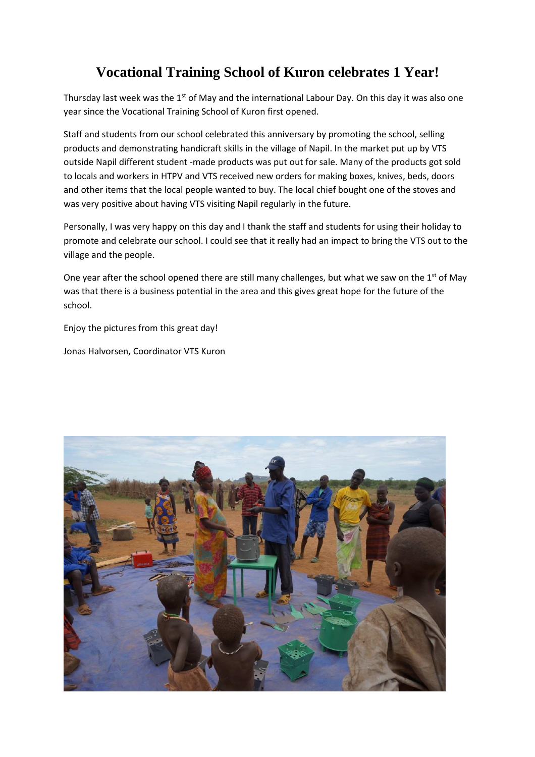## **Vocational Training School of Kuron celebrates 1 Year!**

Thursday last week was the  $1<sup>st</sup>$  of May and the international Labour Day. On this day it was also one year since the Vocational Training School of Kuron first opened.

Staff and students from our school celebrated this anniversary by promoting the school, selling products and demonstrating handicraft skills in the village of Napil. In the market put up by VTS outside Napil different student -made products was put out for sale. Many of the products got sold to locals and workers in HTPV and VTS received new orders for making boxes, knives, beds, doors and other items that the local people wanted to buy. The local chief bought one of the stoves and was very positive about having VTS visiting Napil regularly in the future.

Personally, I was very happy on this day and I thank the staff and students for using their holiday to promote and celebrate our school. I could see that it really had an impact to bring the VTS out to the village and the people.

One year after the school opened there are still many challenges, but what we saw on the  $1<sup>st</sup>$  of May was that there is a business potential in the area and this gives great hope for the future of the school.

Enjoy the pictures from this great day!

Jonas Halvorsen, Coordinator VTS Kuron

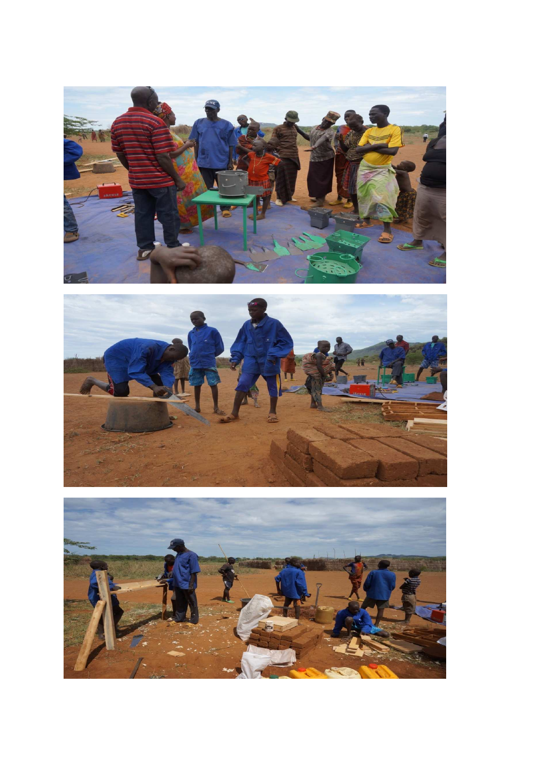